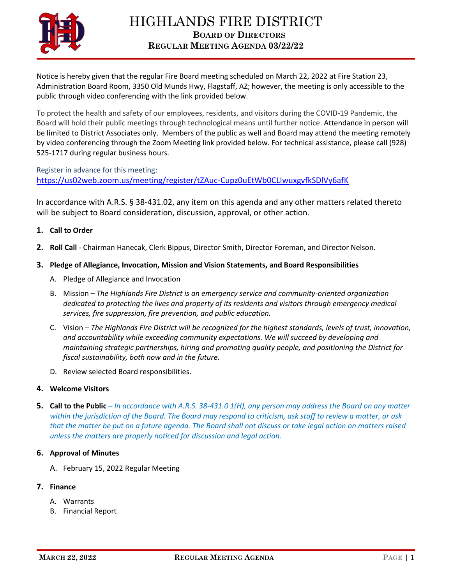

Notice is hereby given that the regular Fire Board meeting scheduled on March 22, 2022 at Fire Station 23, Administration Board Room, 3350 Old Munds Hwy, Flagstaff, AZ; however, the meeting is only accessible to the public through video conferencing with the link provided below.

To protect the health and safety of our employees, residents, and visitors during the COVID-19 Pandemic, the Board will hold their public meetings through technological means until further notice. Attendance in person will be limited to District Associates only. Members of the public as well and Board may attend the meeting remotely by video conferencing through the Zoom Meeting link provided below. For technical assistance, please call (928) 525-1717 during regular business hours.

Register in advance for this meeting: <https://us02web.zoom.us/meeting/register/tZAuc-Cupz0uEtWb0CLIwuxgvfkSDlVy6afK>

In accordance with A.R.S. § 38-431.02, any item on this agenda and any other matters related thereto will be subject to Board consideration, discussion, approval, or other action.

# **1. Call to Order**

**2. Roll Call** - Chairman Hanecak, Clerk Bippus, Director Smith, Director Foreman, and Director Nelson.

# **3. Pledge of Allegiance, Invocation, Mission and Vision Statements, and Board Responsibilities**

- A. Pledge of Allegiance and Invocation
- B. Mission *The Highlands Fire District is an emergency service and community-oriented organization dedicated to protecting the lives and property of its residents and visitors through emergency medical services, fire suppression, fire prevention, and public education.*
- C. Vision *The Highlands Fire District will be recognized for the highest standards, levels of trust, innovation, and accountability while exceeding community expectations. We will succeed by developing and maintaining strategic partnerships, hiring and promoting quality people, and positioning the District for fiscal sustainability, both now and in the future.*
- D. Review selected Board responsibilities.

### **4. Welcome Visitors**

**5. Call to the Public –** *In accordance with A.R.S. 38-431.0 1(H), any person may address the Board on any matter within the jurisdiction of the Board. The Board may respond to criticism, ask staff to review a matter, or ask that the matter be put on a future agenda. The Board shall not discuss or take legal action on matters raised unless the matters are properly noticed for discussion and legal action.*

### **6. Approval of Minutes**

- A. February 15, 2022 Regular Meeting
- **7. Finance**
	- A. Warrants
	- B. Financial Report